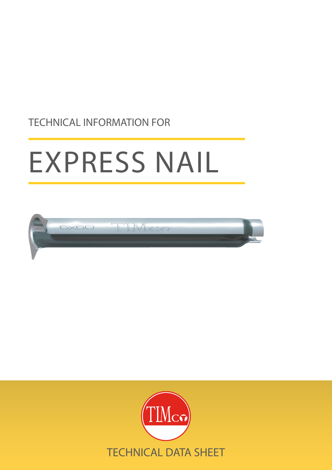# TECHNICAL INFORMATION FOR

# EXPRESS NAIL